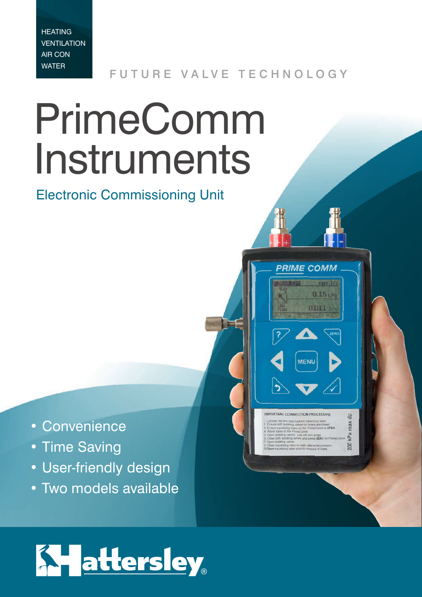**HEATING VENTILATION** AIR CON WATER

FUTURE VALVE TECHNOLOGY

**PRIME COMM** 

 $\mathbb{Z}$   $\blacktriangle$ 

**MENU** 

 $\rightarrow \blacktriangledown$ 

 $\frac{1}{12}$ nax kPa 200

 $0.011 -$ 

# PrimeComm Instruments

Electronic Commissioning Unit

- Convenience
- Time Saving
- User-friendly design
- Two models available

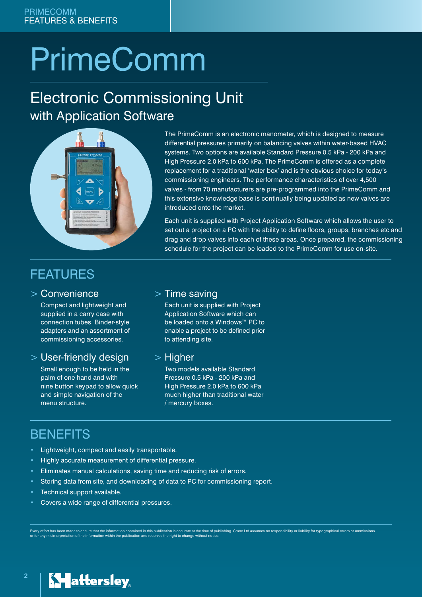## **PrimeComm**

## Electronic Commissioning Unit with Application Software



The PrimeComm is an electronic manometer, which is designed to measure differential pressures primarily on balancing valves within water-based HVAC systems. Two options are available Standard Pressure 0.5 kPa - 200 kPa and High Pressure 2.0 kPa to 600 kPa. The PrimeComm is offered as a complete replacement for a traditional 'water box' and is the obvious choice for today's commissioning engineers. The performance characteristics of over 4,500 valves - from 70 manufacturers are pre-programmed into the PrimeComm and this extensive knowledge base is continually being updated as new valves are introduced onto the market.

Each unit is supplied with Project Application Software which allows the user to set out a project on a PC with the ability to define floors, groups, branches etc and drag and drop valves into each of these areas. Once prepared, the commissioning schedule for the project can be loaded to the PrimeComm for use on-site.

## FEATURES

#### > Convenience

Compact and lightweight and supplied in a carry case with connection tubes, Binder-style adapters and an assortment of commissioning accessories.

#### > User-friendly design

Small enough to be held in the palm of one hand and with nine button keypad to allow quick and simple navigation of the menu structure.

#### > Time saving

Each unit is supplied with Project Application Software which can be loaded onto a Windows™ PC to enable a project to be defined prior to attending site.

#### > Higher

Two models available Standard Pressure 0.5 kPa - 200 kPa and High Pressure 2.0 kPa to 600 kPa much higher than traditional water / mercury boxes.

### BENEFITS

- Lightweight, compact and easily transportable.
- Highly accurate measurement of differential pressure.
- Eliminates manual calculations, saving time and reducing risk of errors.
- Storing data from site, and downloading of data to PC for commissioning report.
- Technical support available.
- Covers a wide range of differential pressures.

Every effort has been made to ensure that the information contained in this publication is accurate at the time of publishing. Crane Ltd assumes no responsibility or liability for typographical errors or ommissions<br>or for

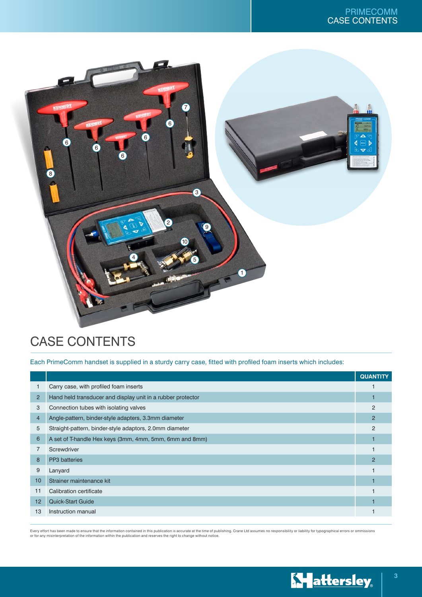

## CASE CONTENTS

Each PrimeComm handset is supplied in a sturdy carry case, fitted with profiled foam inserts which includes:

|                |                                                             | <b>QUANTITY</b> |
|----------------|-------------------------------------------------------------|-----------------|
|                | Carry case, with profiled foam inserts                      |                 |
| $\overline{2}$ | Hand held transducer and display unit in a rubber protector |                 |
| 3              | Connection tubes with isolating valves                      | $\overline{2}$  |
| $\overline{4}$ | Angle-pattern, binder-style adapters, 3.3mm diameter        | $\overline{2}$  |
| 5              | Straight-pattern, binder-style adaptors, 2.0mm diameter     | $\overline{2}$  |
| 6              | A set of T-handle Hex keys (3mm, 4mm, 5mm, 6mm and 8mm)     |                 |
| 7              | Screwdriver                                                 |                 |
| 8              | <b>PP3</b> batteries                                        | $\overline{2}$  |
| 9              | Lanyard                                                     |                 |
| 10             | Strainer maintenance kit                                    |                 |
| 11             | Calibration certificate                                     |                 |
| 12             | <b>Quick-Start Guide</b>                                    |                 |
| 13             | Instruction manual                                          |                 |

Every effort has been made to ensure that the information contained in this publication is accurate at the time of publishing. Crane Ltd assumes no responsibility or liability for typographical errors or ommissions<br>or for